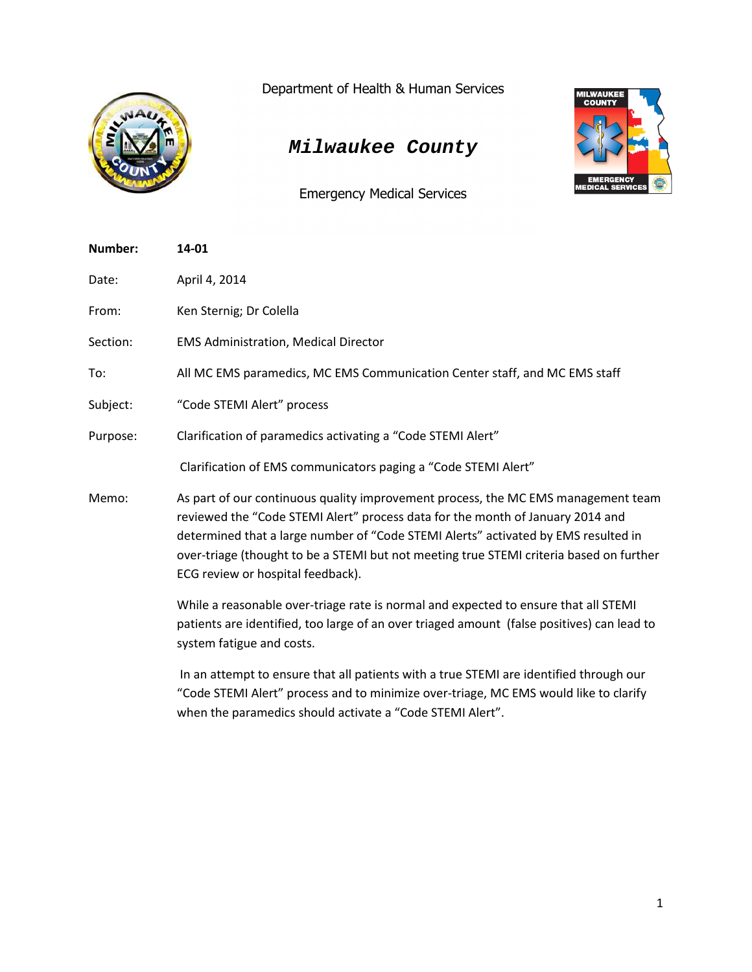

Department of Health & Human Services

## *Milwaukee County*

Emergency Medical Services

| Number:  | 14-01                                                                                                                                                                                                                                                                                                                                                                                     |
|----------|-------------------------------------------------------------------------------------------------------------------------------------------------------------------------------------------------------------------------------------------------------------------------------------------------------------------------------------------------------------------------------------------|
| Date:    | April 4, 2014                                                                                                                                                                                                                                                                                                                                                                             |
| From:    | Ken Sternig; Dr Colella                                                                                                                                                                                                                                                                                                                                                                   |
| Section: | <b>EMS Administration, Medical Director</b>                                                                                                                                                                                                                                                                                                                                               |
| To:      | All MC EMS paramedics, MC EMS Communication Center staff, and MC EMS staff                                                                                                                                                                                                                                                                                                                |
| Subject: | "Code STEMI Alert" process                                                                                                                                                                                                                                                                                                                                                                |
| Purpose: | Clarification of paramedics activating a "Code STEMI Alert"                                                                                                                                                                                                                                                                                                                               |
|          | Clarification of EMS communicators paging a "Code STEMI Alert"                                                                                                                                                                                                                                                                                                                            |
| Memo:    | As part of our continuous quality improvement process, the MC EMS management team<br>reviewed the "Code STEMI Alert" process data for the month of January 2014 and<br>determined that a large number of "Code STEMI Alerts" activated by EMS resulted in<br>over-triage (thought to be a STEMI but not meeting true STEMI criteria based on further<br>ECG review or hospital feedback). |
|          | While a reasonable over-triage rate is normal and expected to ensure that all STEMI<br>patients are identified, too large of an over triaged amount (false positives) can lead to<br>system fatigue and costs.                                                                                                                                                                            |
|          | In an attempt to ensure that all patients with a true STEMI are identified through our<br>"Code STEMI Alert" process and to minimize over-triage, MC EMS would like to clarify                                                                                                                                                                                                            |

when the paramedics should activate a "Code STEMI Alert".